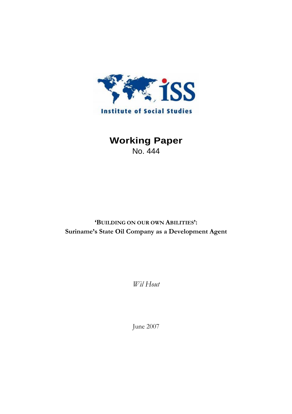

# **Working Paper**  No. 444

# **'BUILDING ON OUR OWN ABILITIES': Suriname's State Oil Company as a Development Agent**

*Wil Hout* 

June 2007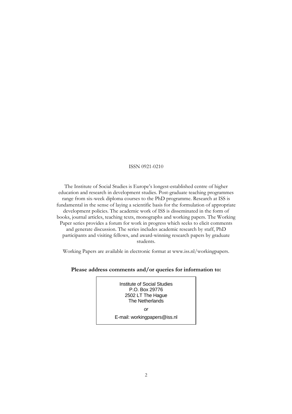#### ISSN 0921-0210

The Institute of Social Studies is Europe's longest-established centre of higher education and research in development studies. Post-graduate teaching programmes range from six-week diploma courses to the PhD programme. Research at ISS is fundamental in the sense of laying a scientific basis for the formulation of appropriate development policies. The academic work of ISS is disseminated in the form of books, journal articles, teaching texts, monographs and working papers. The Working Paper series provides a forum for work in progress which seeks to elicit comments and generate discussion. The series includes academic research by staff, PhD participants and visiting fellows, and award-winning research papers by graduate students.

Working Papers are available in electronic format at www.iss.nl/workingpapers.

### **Please address comments and/or queries for information to:**

Institute of Social Studies P.O. Box 29776 2502 LT The Hague The Netherlands

*or* 

E-mail: workingpapers@iss.nl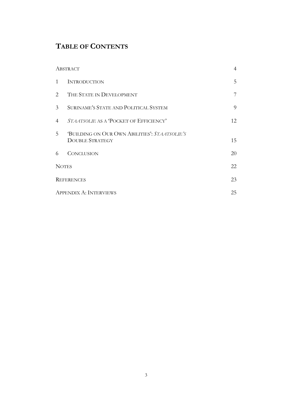# **TABLE OF CONTENTS**

|                               | <b>ABSTRACT</b>                                                         | $\overline{4}$ |
|-------------------------------|-------------------------------------------------------------------------|----------------|
| $\mathbf{1}$                  | <b>INTRODUCTION</b>                                                     | 5              |
| 2                             | THE STATE IN DEVELOPMENT                                                | 7              |
| 3 <sup>1</sup>                | SURINAME'S STATE AND POLITICAL SYSTEM                                   | 9              |
| 4                             | STAATSOLIE AS A 'POCKET OF EFFICIENCY'                                  | 12             |
| 5 <sup>5</sup>                | 'BUILDING ON OUR OWN ABILITIES': STAATSOLIE'S<br><b>DOUBLE STRATEGY</b> | 15             |
| 6                             | <b>CONCLUSION</b>                                                       | 20             |
| <b>NOTES</b>                  |                                                                         | 22             |
| <b>REFERENCES</b>             |                                                                         | 23             |
| <b>APPENDIX A: INTERVIEWS</b> |                                                                         | 25             |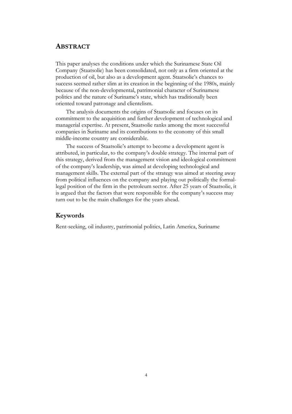# **ABSTRACT**

This paper analyses the conditions under which the Surinamese State Oil Company (Staatsolie) has been consolidated, not only as a firm oriented at the production of oil, but also as a development agent. Staatsolie's chances to success seemed rather slim at its creation in the beginning of the 1980s, mainly because of the non-developmental, patrimonial character of Surinamese politics and the nature of Suriname's state, which has traditionally been oriented toward patronage and clientelism.

The analysis documents the origins of Staatsolie and focuses on its commitment to the acquisition and further development of technological and managerial expertise. At present, Staatsolie ranks among the most successful companies in Suriname and its contributions to the economy of this small middle-income country are considerable.

The success of Staatsolie's attempt to become a development agent is attributed, in particular, to the company's double strategy. The internal part of this strategy, derived from the management vision and ideological commitment of the company's leadership, was aimed at developing technological and management skills. The external part of the strategy was aimed at steering away from political influences on the company and playing out politically the formallegal position of the firm in the petroleum sector. After 25 years of Staatsolie, it is argued that the factors that were responsible for the company's success may turn out to be the main challenges for the years ahead.

### **Keywords**

Rent-seeking, oil industry, patrimonial politics, Latin America, Suriname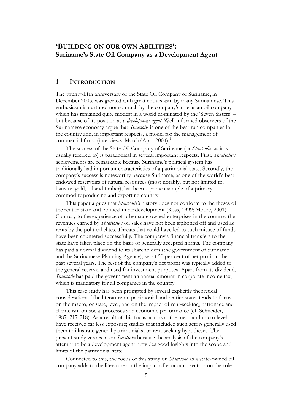# **'BUILDING ON OUR OWN ABILITIES': Suriname's State Oil Company as a Development Agent**

#### **1 INTRODUCTION**

The twenty-fifth anniversary of the State Oil Company of Suriname, in December 2005, was greeted with great enthusiasm by many Surinamese. This enthusiasm is nurtured not so much by the company's role as an oil company – which has remained quite modest in a world dominated by the 'Seven Sisters' – but because of its position as a *development agent*. Well-informed observers of the Surinamese economy argue that *Staatsolie* is one of the best run companies in the country and, in important respects, a model for the management of commercial firms (interviews, March/April 2004).<sup>1</sup>

The success of the State Oil Company of Suriname (or *Staatsolie*, as it is usually referred to) is paradoxical in several important respects. First, *Staatsolie's* achievements are remarkable because Suriname's political system has traditionally had important characteristics of a patrimonial state. Secondly, the company's success is noteworthy because Suriname, as one of the world's bestendowed reservoirs of natural resources (most notably, but not limited to, bauxite, gold, oil and timber), has been a prime example of a primary commodity producing and exporting country.

This paper argues that *Staatsolie's* history does not conform to the theses of the rentier state and political underdevelopment (Ross, 1999; Moore, 2001). Contrary to the experience of other state-owned enterprises in the country, the revenues earned by *Staatsolie's* oil sales have not been siphoned off and used as rents by the political elites. Threats that could have led to such misuse of funds have been countered successfully. The company's financial transfers to the state have taken place on the basis of generally accepted norms. The company has paid a normal dividend to its shareholders (the government of Suriname and the Surinamese Planning Agency), set at 50 per cent of net profit in the past several years. The rest of the company's net profit was typically added to the general reserve, and used for investment purposes. Apart from its dividend, *Staatsolie* has paid the government an annual amount in corporate income tax, which is mandatory for all companies in the country.

This case study has been prompted by several explicitly theoretical considerations. The literature on patrimonial and rentier states tends to focus on the macro, or state, level, and on the impact of rent-seeking, patronage and clientelism on social processes and economic performance (cf. Schneider, 1987: 217-218). As a result of this focus, actors at the meso and micro level have received far less exposure; studies that included such actors generally used them to illustrate general patrimonialist or rent-seeking hypotheses. The present study zeroes in on *Staatsolie* because the analysis of the company's attempt to be a development agent provides good insights into the scope and limits of the patrimonial state.

Connected to this, the focus of this study on *Staatsolie* as a state-owned oil company adds to the literature on the impact of economic sectors on the role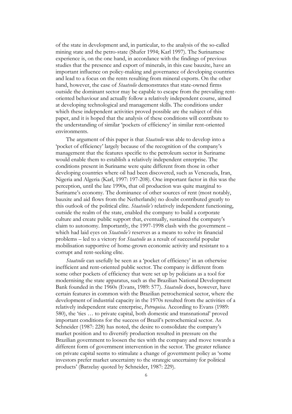of the state in development and, in particular, to the analysis of the so-called mining state and the petro-state (Shafer 1994; Karl 1997). The Surinamese experience is, on the one hand, in accordance with the findings of previous studies that the presence and export of minerals, in this case bauxite, have an important influence on policy-making and governance of developing countries and lead to a focus on the rents resulting from mineral exports. On the other hand, however, the case of *Staatsolie* demonstrates that state-owned firms outside the dominant sector may be capable to escape from the prevailing rentoriented behaviour and actually follow a relatively independent course, aimed at developing technological and management skills. The conditions under which these independent activities proved possible are the subject of this paper, and it is hoped that the analysis of these conditions will contribute to the understanding of similar 'pockets of efficiency' in similar rent-oriented environments.

The argument of this paper is that *Staatsolie* was able to develop into a 'pocket of efficiency' largely because of the recognition of the company's management that the features specific to the petroleum sector in Suriname would enable them to establish a relatively independent enterprise. The conditions present in Suriname were quite different from those in other developing countries where oil had been discovered, such as Venezuela, Iran, Nigeria and Algeria (Karl, 1997: 197-208). One important factor in this was the perception, until the late 1990s, that oil production was quite marginal to Suriname's economy. The dominance of other sources of rent (most notably, bauxite and aid flows from the Netherlands) no doubt contributed greatly to this outlook of the political elite. *Staatsolie's* relatively independent functioning, outside the realm of the state, enabled the company to build a corporate culture and create public support that, eventually, sustained the company's claim to autonomy. Importantly, the 1997-1998 clash with the government – which had laid eyes on *Staatsolie's* reserves as a means to solve its financial problems – led to a victory for *Staatsolie* as a result of successful popular mobilisation supportive of home-grown economic activity and resistant to a corrupt and rent-seeking elite.

*Staatsolie* can usefully be seen as a 'pocket of efficiency' in an otherwise inefficient and rent-oriented public sector. The company is different from some other pockets of efficiency that were set up by policians as a tool for modernising the state apparatus, such as the Brazilian National Development Bank founded in the 1960s (Evans, 1989: 577). *Staatsolie* does, however, have certain features in common with the Brazilian petrochemical sector, where the development of industrial capacity in the 1970s resulted from the activities of a relatively independent state enterprise, *Petroquisa*. According to Evans (1989: 580), the 'ties … to private capital, both domestic and transnational' proved important conditions for the success of Brazil's petrochemical sector. As Schneider (1987: 228) has noted, the desire to consolidate the company's market position and to diversify production resulted in pressure on the Brazilian government to loosen the ties with the company and move towards a different form of government intervention in the sector. The greater reliance on private capital seems to stimulate a change of government policy as 'some investors prefer market uncertainty to the strategic uncertainty for political products' (Barzelay quoted by Schneider, 1987: 229).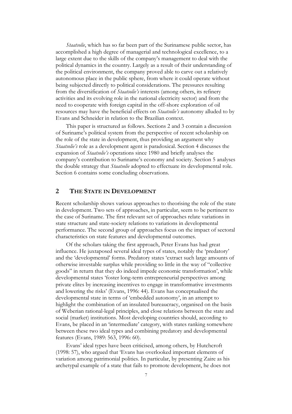*Staatsolie*, which has so far been part of the Surinamese public sector, has accomplished a high degree of managerial and technological excellence, to a large extent due to the skills of the company's management to deal with the political dynamics in the country. Largely as a result of their understanding of the political environment, the company proved able to carve out a relatively autonomous place in the public sphere, from where it could operate without being subjected directly to political considerations. The pressures resulting from the diversification of *Staatsolie's* interests (among others, its refinery activities and its evolving role in the national electricity sector) and from the need to cooperate with foreign capital in the off-shore exploration of oil resources may have the beneficial effects on *Staatsolie's* autonomy alluded to by Evans and Schneider in relation to the Brazilian context.

This paper is structured as follows. Sections 2 and 3 contain a discussion of Suriname's political system from the perspective of recent scholarship on the role of the state in development, thus providing an argument why *Staatsolie's* role as a development agent is paradoxical. Section 4 discusses the expansion of *Staatsolie's* operations since 1980 and briefly analyses the company's contribution to Suriname's economy and society. Section 5 analyses the double strategy that *Staatsolie* adopted to effectuate its developmental role. Section 6 contains some concluding observations.

## **2 THE STATE IN DEVELOPMENT**

Recent scholarship shows various approaches to theorising the role of the state in development. Two sets of approaches, in particular, seem to be pertinent to the case of Suriname. The first relevant set of approaches relate variations in state structure and state-society relations to variations in developmental performance. The second group of approaches focus on the impact of sectoral characteristics on state features and developmental outcomes.

Of the scholars taking the first approach, Peter Evans has had great influence. He juxtaposed several ideal types of states, notably the 'predatory' and the 'developmental' forms. Predatory states 'extract such large amounts of otherwise investable surplus while providing so little in the way of "collective goods" in return that they do indeed impede economic transformation', while developmental states 'foster long-term entrepreneurial perspectives among private elites by increasing incentives to engage in transformative investments and lowering the risks' (Evans, 1996: 44). Evans has conceptualised the developmental state in terms of 'embedded autonomy', in an attempt to highlight the combination of an insulated bureaucracy, organised on the basis of Weberian rational-legal principles, and close relations between the state and social (market) institutions. Most developing countries should, according to Evans, be placed in an 'intermediate' category, with states ranking somewhere between these two ideal types and combining predatory and developmental features (Evans, 1989: 563, 1996: 60).

Evans' ideal types have been criticised, among others, by Hutchcroft (1998: 57), who argued that 'Evans has overlooked important elements of variation among patrimonial polities. In particular, by presenting Zaire as his archetypal example of a state that fails to promote development, he does not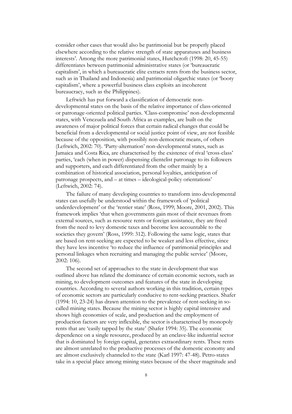consider other cases that would also be patrimonial but be properly placed elsewhere according to the relative strength of state apparatuses and business interests'. Among the more patrimonial states, Hutchcroft (1998: 20, 45-55) differentiates between patrimonial administrative states (or 'bureaucratic capitalism', in which a bureaucratic elite extracts rents from the business sector, such as in Thailand and Indonesia) and patrimonial oligarchic states (or 'booty capitalism', where a powerful business class exploits an incoherent bureaucracy, such as the Philippines).

Leftwich has put forward a classification of democratic nondevelopmental states on the basis of the relative importance of class-oriented or patronage-oriented political parties. 'Class-compromise' non-developmental states, with Venezuela and South Africa as examples, are built on the awareness of major political forces that certain radical changes that could be beneficial from a developmental or social justice point of view, are not feasible because of the opposition, with possibly non-democratic means, of others (Leftwich, 2002: 70). 'Party-alternation' non-developmental states, such as Jamaica and Costa Rica, are characterised by the existence of rival 'cross-class' parties, 'each (when in power) dispensing clientelist patronage to its followers and supporters, and each differentiated from the other mainly by a combination of historical association, personal loyalties, anticipation of patronage prospects, and – at times – ideological-policy orientations' (Leftwich, 2002: 74).

The failure of many developing countries to transform into developmental states can usefully be understood within the framework of 'political underdevelopment' or the 'rentier state' (Ross, 1999; Moore, 2001, 2002). This framework implies 'that when governments gain most of their revenues from external sources, such as resource rents or foreign assistance, they are freed from the need to levy domestic taxes and become less accountable to the societies they govern' (Ross, 1999: 312). Following the same logic, states that are based on rent-seeking are expected to be weaker and less effective, since they have less incentive 'to reduce the influence of patrimonial principles and personal linkages when recruiting and managing the public service' (Moore, 2002: 106).

The second set of approaches to the state in development that was outlined above has related the dominance of certain economic sectors, such as mining, to development outcomes and features of the state in developing countries. According to several authors working in this tradition, certain types of economic sectors are particularly conducive to rent-seeking practices. Shafer (1994: 10, 23-24) has drawn attention to the prevalence of rent-seeking in socalled mining states. Because the mining sector is highly capital intensive and shows high economies of scale, and production and the employment of production factors are very inflexible, the sector is characterised by monopoly rents that are 'easily tapped by the state' (Shafer 1994: 35). The economic dependence on a single resource, produced by an enclave-like industrial sector that is dominated by foreign capital, generates extraordinary rents. These rents are almost unrelated to the productive processes of the domestic economy and are almost exclusively channeled to the state (Karl 1997: 47-48). Petro-states take in a special place among mining states because of the sheer magnitude and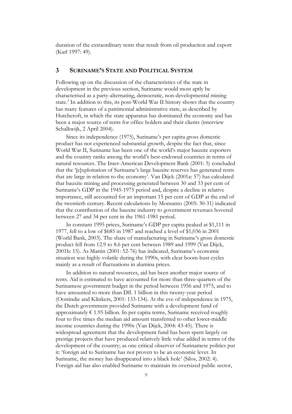duration of the extraordinary rents that result from oil production and export (Karl 1997: 49).

#### **3 SURINAME'S STATE AND POLITICAL SYSTEM**

Following up on the discussion of the characteristics of the state in development in the previous section, Suriname would most aptly be characterised as a party-alternating, democratic, non-developmental mining state.<sup>2</sup> In addition to this, its post-World War II history shows that the country has many features of a patrimonial administrative state, as described by Hutchcroft, in which the state apparatus has dominated the economy and has been a major source of rents for office holders and their clients (interview Schalkwijk, 2 April 2004).

Since its independence (1975), Suriname's per capita gross domestic product has not experienced substantial growth, despite the fact that, since World War II, Suriname has been one of the world's major bauxite exporters and the country ranks among the world's best-endowed countries in terms of natural resources. The Inter-American Development Bank (2001: 5) concluded that the '[e]xploitation of Suriname's large bauxite reserves has generated rents that are large in relation to the economy'. Van Dijck (2001a: 57) has calculated that bauxite mining and processing generated between 30 and 33 per cent of Suriname's GDP in the 1945-1975 period and, despite a decline in relative importance, still accounted for an important 15 per cent of GDP at the end of the twentieth century. Recent calculations by Monsanto (2005: 30-31) indicated that the contribution of the bauxite industry to government revenues hovered between 27 and 34 per cent in the 1961-1981 period.

In constant 1995 prices, Suriname's GDP per capita peaked at \$1,111 in 1977, fell to a low of \$685 in 1987 and reached a level of \$1,036 in 2001 (World Bank, 2003). The share of manufacturing in Suriname's gross domestic product fell from 12.9 to 8.6 per cent between 1989 and 1999 (Van Dijck, 2001b: 15). As Martin (2001: 52-76) has indicated, Suriname's economic situation was highly volatile during the 1990s, with clear boom-bust cycles mainly as a result of fluctuations in alumina prices.

In addition to natural resources, aid has been another major source of rents. Aid is estimated to have accounted for more than three-quarters of the Surinamese government budget in the period between 1956 and 1975, and to have amounted to more than Dfl. 1 billion in this twenty-year period (Oostindie and Klinkers, 2001: 133-134). At the eve of independence in 1975, the Dutch government provided Suriname with a development fund of approximately  $\epsilon$  1.95 billion. In per capita terms, Suriname received roughly four to five times the median aid amount transferred to other lower-middle income countries during the 1990s (Van Dijck, 2004: 43-45). There is widespread agreement that the development fund has been spent largely on prestige projects that have produced relatively little value added in terms of the development of the country; as one critical observer of Surinamese politics put it: 'foreign aid to Suriname has not proven to be an economic lever. In Suriname, the money has disappeared into a black hole' (Silos, 2002: 4). Foreign aid has also enabled Suriname to maintain its oversized public sector,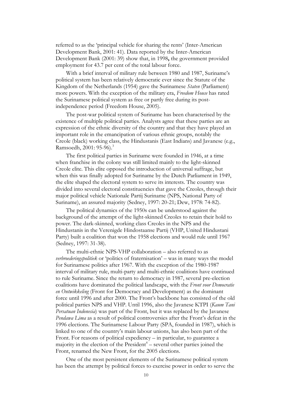referred to as the 'principal vehicle for sharing the rents' (Inter-American Development Bank, 2001: 41). Data reported by the Inter-American Development Bank (2001: 39) show that, in 1998**,** the government provided employment for 43.7 per cent of the total labour force.

With a brief interval of military rule between 1980 and 1987, Suriname's political system has been relatively democratic ever since the Statute of the Kingdom of the Netherlands (1954) gave the Surinamese *Staten* (Parliament) more powers. With the exception of the military era, *Freedom House* has rated the Surinamese political system as free or partly free during its postindependence period (Freedom House, 2005).

The post-war political system of Suriname has been characterised by the existence of multiple political parties. Analysts agree that these parties are an expression of the ethnic diversity of the country and that they have played an important role in the emancipation of various ethnic groups, notably the Creole (black) working class, the Hindustanis (East Indians) and Javanese (e.g., Ramsoedh, 2001: 95-96).<sup>3</sup>

The first political parties in Suriname were founded in 1946, at a time when franchise in the colony was still limited mainly to the light-skinned Creole elite. This elite opposed the introduction of universal suffrage, but when this was finally adopted for Suriname by the Dutch Parliament in 1949, the elite shaped the electoral system to serve its interests. The country was divided into several electoral constituencies that gave the Creoles, through their major political vehicle Nationale Partij Suriname (NPS, National Party of Suriname), an assured majority (Sedney, 1997: 20-21; Dew, 1978: 74-82).

The political dynamics of the 1950s can be understood against the background of the attempt of the light-skinned Creoles to retain their hold to power. The dark-skinned, working class Creoles in the NPS and the Hindustanis in the Verenigde Hindostaanse Partij (VHP, United Hindustani Party) built a coalition that won the 1958 elections and would rule until 1967 (Sedney, 1997: 31-38).

The multi-ethnic NPS-VHP collaboration – also referred to as *verbroederingspolitiek* or 'politics of fraternisation' – was in many ways the model for Surinamese politics after 1967. With the exception of the 1980-1987 interval of military rule, multi-party and multi-ethnic coalitions have continued to rule Suriname. Since the return to democracy in 1987, several pre-election coalitions have dominated the political landscape, with the *Front voor Democratie en Ontwikkeling* (Front for Democracy and Development) as the dominant force until 1996 and after 2000. The Front's backbone has consisted of the old political parties NPS and VHP. Until 1996, also the Javanese KTPI (*Kaum Tani Persatuan Indonesia*) was part of the Front, but it was replaced by the Javanese *Pendawa Lima* as a result of political controversies after the Front's defeat in the 1996 elections. The Surinamese Labour Party (SPA, founded in 1987), which is linked to one of the country's main labour unions, has also been part of the Front. For reasons of political expediency – in particular, to guarantee a majority in the election of the  $President<sup>4</sup> - several other parties joined the$ Front, renamed the New Front, for the 2005 elections.

One of the most persistent elements of the Surinamese political system has been the attempt by political forces to exercise power in order to serve the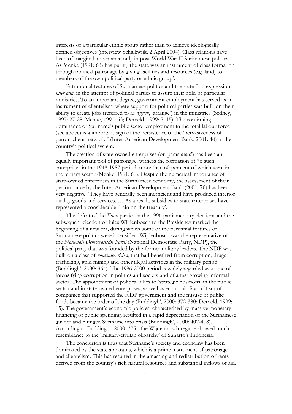interests of a particular ethnic group rather than to achieve ideologically defined objectives (interview Schalkwijk, 2 April 2004). Class relations have been of marginal importance only in post-World War II Surinamese politics. As Menke (1991: 63) has put it, 'the state was an instrument of class formation through political patronage by giving facilities and resources (e.g. land) to members of the own political party or ethnic group'.

Patrimonial features of Surinamese politics and the state find expression, *inter alia*, in the attempt of political parties to assure their hold of particular ministries. To an important degree, government employment has served as an instrument of clientelism, where support for political parties was built on their ability to create jobs (referred to as *regelen*, 'arrange') in the ministries (Sedney, 1997: 27-28; Menke, 1991: 63; Derveld, 1999: 5, 15). The continuing dominance of Suriname's public sector employment in the total labour force (see above) is a important sign of the persistence of the 'pervasiveness of patron-client networks' (Inter-American Development Bank, 2001: 40) in the country's political system.

The creation of state-owned enterprises (or 'parastatals') has been an equally important tool of patronage, witness the formation of 76 such enterprises in the 1948-1987 period, more than 60 per cent of which were in the tertiary sector (Menke, 1991: 60). Despite the numerical importance of state-owned enterprises in the Surinamese economy, the assessment of their performance by the Inter-American Development Bank (2001: 76) has been very negative: 'They have generally been inefficient and have produced inferior quality goods and services. … As a result, subsidies to state enterprises have represented a considerable drain on the treasury'.

The defeat of the *Front* parties in the 1996 parliamentary elections and the subsequent election of Jules Wijdenbosch to the Presidency marked the beginning of a new era, during which some of the perennial features of Surinamese politics were intensified. Wijdenbosch was the representative of the *Nationale Democratische Partij* (National Democratic Party, NDP), the political party that was founded by the former military leaders. The NDP was built on a class of *nouveaux riches*, that had benefited from corruption, drugs trafficking, gold mining and other illegal activities in the military period (Buddingh', 2000: 364). The 1996-2000 period is widely regarded as a time of intensifying corruption in politics and society and of a fast growing informal sector. The appointment of political allies to 'strategic positions' in the public sector and in state-owned enterprises, as well as economic favouritism of companies that supported the NDP government and the misuse of public funds became the order of the day (Buddingh', 2000: 372-380; Derveld, 1999: 15). The government's economic policies, characterised by massive monetary financing of public spending, resulted in a rapid depreciation of the Surinamese guilder and plunged Suriname into crisis (Buddingh', 2000: 402-408). According to Buddingh' (2000: 375), the Wijdenbosch regime showed much resemblance to the 'military-civilian oligarchy' of Suharto's Indonesia.

The conclusion is thus that Suriname's society and economy has been dominated by the state apparatus, which is a prime instrument of patronage and clientelism. This has resulted in the amassing and redistribution of rents derived from the country's rich natural resources and substantial inflows of aid.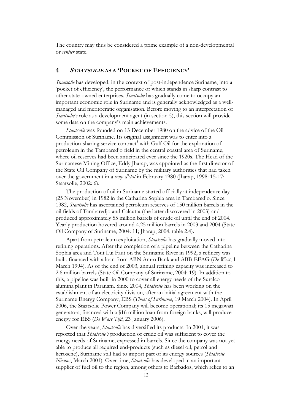The country may thus be considered a prime example of a non-developmental or *rentier* state.

#### **4 <sup>S</sup>TAATSOLIE AS A 'POCKET OF EFFICIENCY'**

*Staatsolie* has developed, in the context of post-independence Suriname, into a 'pocket of efficiency', the performance of which stands in sharp contrast to other state-owned enterprises. *Staatsolie* has gradually come to occupy an important economic role in Suriname and is generally acknowledged as a wellmanaged and meritocratic organisation. Before moving to an interpretation of *Staatsolie's* role as a development agent (in section 5), this section will provide some data on the company's main achievements.

*Staatsolie* was founded on 13 December 1980 on the advice of the Oil Commission of Suriname. Its original assignment was to enter into a production-sharing service contract<sup>5</sup> with Gulf Oil for the exploration of petroleum in the Tambaredjo field in the central coastal area of Suriname, where oil reserves had been anticipated ever since the 1920s. The Head of the Surinamese Mining Office, Eddy Jharap, was appointed as the first director of the State Oil Company of Suriname by the military authorities that had taken over the government in a *coup d'état* in February 1980 (Jharap, 1998: 15-17; Staatsolie, 2002: 6).

The production of oil in Suriname started officially at independence day (25 November) in 1982 in the Catharina Sophia area in Tambaredjo. Since 1982, *Staatsolie* has ascertained petroleum reserves of 150 million barrels in the oil fields of Tambaredjo and Calcutta (the latter discovered in 2003) and produced approximately 55 million barrels of crude oil until the end of 2004. Yearly production hovered around 4.25 million barrels in 2003 and 2004 (State Oil Company of Suriname, 2004: 11; Jharap, 2004, table 2.4).

Apart from petroleum exploitation, *Staatsolie* has gradually moved into refining operations. After the completion of a pipeline between the Catharina Sophia area and Tout Lui Faut on the Suriname River in 1992, a refinery was built, financed with a loan from ABN Amro Bank and ABB-EFAG (*De West*, 1 March 1994). As of the end of 2003, annual refining capacity was increased to 2.6 million barrels (State Oil Company of Suriname, 2004: 19). In addition to this, a pipeline was built in 2000 to cover all energy needs of the Suralco alumina plant in Paranam. Since 2004, *Staatsolie* has been working on the establishment of an electricity division, after an initial agreement with the Suriname Energy Company, EBS (*Times of Suriname*, 19 March 2004). In April 2006, the Staatsolie Power Company will become operational; its 15 megawatt generators, financed with a \$16 million loan from foreign banks, will produce energy for EBS (*De Ware Tijd*, 23 January 2006).

Over the years, *Staatsolie* has diversified its products. In 2001, it was reported that *Staatsolie's* production of crude oil was sufficient to cover the energy needs of Suriname, expressed in barrels. Since the company was not yet able to produce all required end-products (such as diesel oil, petrol and kerosene), Suriname still had to import part of its energy sources (*Staatsolie Nieuws*, March 2001). Over time, *Staatsolie* has developed in an important supplier of fuel oil to the region, among others to Barbados, which relies to an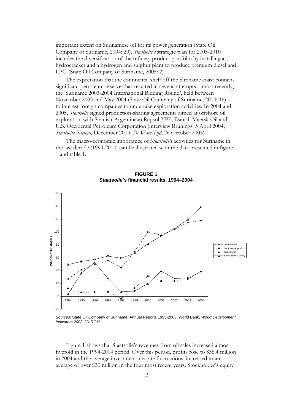important extent on Surinamese oil for its power generation (State Oil Company of Suriname, 2004: 20). *Staatsolie's* strategic plan for 2005-2010 includes the diversification of the refinery product portfolio by installing a hydrocracker and a hydrogen and sulphur plant to produce premium diesel and LPG (State Oil Company of Suriname, 2005: 2)

The expectation that the continental shelf off the Suriname coast contains significant petroleum reserves has resulted in several attempts – most recently, the 'Suriname 2003-2004 International Bidding Round', held between November 2003 and May 2004 (State Oil Company of Suriname, 2004: 16) – to interest foreign companies to undertake exploration activities. In 2004 and 2005, *Staatsolie* signed production-sharing agreements aimed at offshore oil exploration with Spanish-Argentinean Repsol-YPF, Danish Maersk Oil and U.S. Occidental Petroleum Corporation (interview Brunings, 5 April 2004; *Staatsolie Nieuws*, December 2004; *De Ware Tijd*, 26 October 2005).

The macro-economic importance of *Staatsolie's* activities for Suriname in the last decade (1994-2004) can be illustrated with the data presented in figure 1 and table 1.



#### **FIGURE 1**  *Staatsolie***'s financial results, 1994–2004**

*Sources:* State Oil Company of Suriname, Annual Reports 1993-2003; World Bank, *World Development Indicators 2003 CD-ROM.*

Figure 1 shows that Staatsolie's revenues from oil sales increased almost fivefold in the 1994-2004 period. Over this period, profits rose to \$38.4 million in 2004 and the average investment, despite fluctuations, increased to an average of over \$30 million in the four most recent years. Stockholder's equity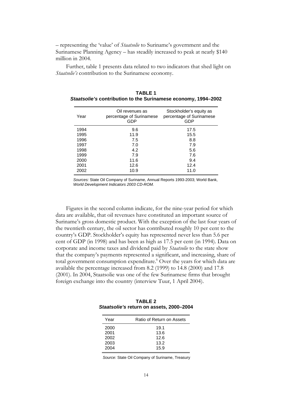– representing the 'value' of *Staatsolie* to Suriname's government and the Surinamese Planning Agency – has steadily increased to peak at nearly \$140 million in 2004.

Further, table 1 presents data related to two indicators that shed light on *Staatsolie's* contribution to the Surinamese economy.

| Year | Oil revenues as<br>percentage of Surinamese<br>GDP | Stockholder's equity as<br>percentage of Surinamese<br>GDP |
|------|----------------------------------------------------|------------------------------------------------------------|
| 1994 | 9.6                                                | 17.5                                                       |
| 1995 | 11.9                                               | 15.5                                                       |
| 1996 | 7.5                                                | 8.8                                                        |
| 1997 | 7.0                                                | 7.9                                                        |
| 1998 | 4.2                                                | 5.6                                                        |
| 1999 | 7.9                                                | 7.6                                                        |
| 2000 | 11.6                                               | 9.4                                                        |
| 2001 | 12.6                                               | 12.4                                                       |
| 2002 | 10.9                                               | 11.0                                                       |
|      |                                                    |                                                            |

| <b>TABLE 1</b>                                                 |
|----------------------------------------------------------------|
| Staatsolie's contribution to the Surinamese economy, 1994-2002 |

*Sources:* State Oil Company of Suriname, Annual Reports 1993-2003; World Bank, *World Development Indicators 2003 CD-ROM.* 

Figures in the second column indicate, for the nine-year period for which data are available, that oil revenues have constituted an important source of Suriname's gross domestic product. With the exception of the last four years of the twentieth century, the oil sector has contributed roughly 10 per cent to the country's GDP. Stockholder's equity has represented never less than 5.6 per cent of GDP (in 1998) and has been as high as 17.5 per cent (in 1994). Data on corporate and income taxes and dividend paid by *Staatsolie* to the state show that the company's payments represented a significant, and increasing, share of total government consumption expenditure.<sup>6</sup> Over the years for which data are available the percentage increased from 8.2 (1999) to 14.8 (2000) and 17.8 (2001). In 2004, Staatsolie was one of the few Surinamese firms that brought foreign exchange into the country (interview Tuur, 1 April 2004).

**TABLE 2**  *Staatsolie's* **return on assets, 2000–2004** 

| Year | Ratio of Return on Assets |
|------|---------------------------|
| 2000 | 19.1                      |
| 2001 | 13.6                      |
| 2002 | 12.6                      |
| 2003 | 13.2                      |
| 2004 | 15.9                      |

*Source:* State Oil Company of Suriname, Treasury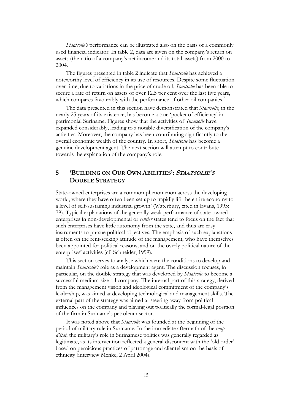*Staatsolie's* performance can be illustrated also on the basis of a commonly used financial indicator. In table 2, data are given on the company's return on assets (the ratio of a company's net income and its total assets) from 2000 to 2004.

The figures presented in table 2 indicate that *Staatsolie* has achieved a noteworthy level of efficiency in its use of resources. Despite some fluctuation over time, due to variations in the price of crude oil, *Staatsolie* has been able to secure a rate of return on assets of over 12.5 per cent over the last five years, which compares favourably with the performance of other oil companies.<sup>7</sup>

The data presented in this section have demonstrated that *Staatsolie*, in the nearly 25 years of its existence, has become a true 'pocket of efficiency' in patrimonial Suriname. Figures show that the activities of *Staatsolie* have expanded considerably, leading to a notable diversification of the company's activities. Moreover, the company has been contributing significantly to the overall economic wealth of the country. In short, *Staatsolie* has become a genuine development agent. The next section will attempt to contribute towards the explanation of the company's role.

## **5 'BUILDING ON OUR OWN ABILITIES': <sup>S</sup>TAATSOLIE'<sup>S</sup> DOUBLE STRATEGY**

State-owned enterprises are a common phenomenon across the developing world, where they have often been set up to 'rapidly lift the entire economy to a level of self-sustaining industrial growth' (Waterbury, cited in Evans, 1995: 79). Typical explanations of the generally weak performance of state-owned enterprises in non-developmental or *rentier* states tend to focus on the fact that such enterprises have little autonomy from the state, and thus are easy instruments to pursue political objectives. The emphasis of such explanations is often on the rent-seeking attitude of the management, who have themselves been appointed for political reasons, and on the overly political nature of the enterprises' activities (cf. Schneider, 1999).

This section serves to analyse which were the conditions to develop and maintain *Staatsolie's* role as a development agent. The discussion focuses, in particular, on the double strategy that was developed by *Staatsolie* to become a successful medium-size oil company. The internal part of this strategy, derived from the management vision and ideological commitment of the company's leadership, was aimed at developing technological and management skills. The external part of the strategy was aimed at steering away from political influences on the company and playing out politically the formal-legal position of the firm in Suriname's petroleum sector.

It was noted above that *Staatsolie* was founded at the beginning of the period of military rule in Suriname. In the immediate aftermath of the *coup d'état*, the military's role in Surinamese politics was generally regarded as legitimate, as its intervention reflected a general discontent with the 'old order' based on pernicious practices of patronage and clientelism on the basis of ethnicity (interview Menke, 2 April 2004).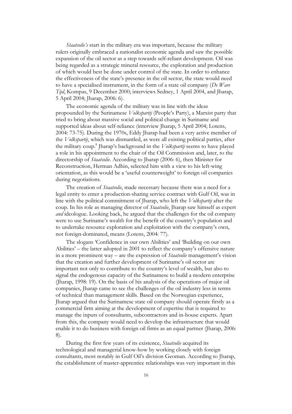*Staatsolie's* start in the military era was important, because the military rulers originally embraced a nationalist economic agenda and saw the possible expansion of the oil sector as a step towards self-reliant development. Oil was being regarded as a strategic mineral resource, the exploration and production of which would best be done under control of the state. In order to enhance the effectiveness of the state's presence in the oil sector, the state would need to have a specialised instrument, in the form of a state oil company (*De Ware Tijd*, Kompas, 9 December 2000; interviews Sedney, 1 April 2004, and Jharap, 5 April 2004; Jharap, 2006: 6).

The economic agenda of the military was in line with the ideas propounded by the Surinamese *Volkspartij* (People's Party), a Marxist party that tried to bring about massive social and political change in Suriname and supported ideas about self-reliance (interview Jharap, 5 April 2004; Lotens, 2004: 73-75). During the 1970s, Eddy Jharap had been a very active member of the *Volkspartij*, which was dismantled, as were all existing political parties, after the military coup.8 Jharap's background in the *Volkspartij* seems to have played a role in his appointment to the chair of the Oil Commission and, later, to the directorship of *Staatsolie*. According to Jharap (2006: 6), then Minister for Reconstruction, Herman Adhin, selected him with a view to his left-wing orientation, as this would be a 'useful counterweight' to foreign oil companies during negotiations.

The creation of *Staatsolie*, made necessary because there was a need for a legal entity to enter a production-sharing service contract with Gulf Oil, was in line with the political commitment of Jharap, who left the *Volkspartij* after the coup. In his role as managing director of *Staatsolie*, Jharap saw himself as expert *and* ideologue. Looking back, he argued that the challenges for the oil company were to use Suriname's wealth for the benefit of the country's population and to undertake resource exploration and exploitation with the company's own, not foreign-dominated, means (Lotens, 2004: 77).

The slogans 'Confidence in our own Abilities' and 'Building on our own Abilities' – the latter adopted in 2001 to reflect the company's offensive nature in a more prominent way – are the expression of *Staatsolie* management's vision that the creation and further development of Suriname's oil sector are important not only to contribute to the country's level of wealth, but also to signal the endogenous capacity of the Surinamese to build a modern enterprise (Jharap, 1998: 19). On the basis of his analysis of the operations of major oil companies, Jharap came to see the challenges of the oil industry less in terms of technical than management skills. Based on the Norwegian experience, Jharap argued that the Surinamese state oil company should operate firstly as a commercial firm aiming at the development of expertise that is required to manage the inputs of consultants, subcontractors and in-house experts. Apart from this, the company would need to develop the infrastructure that would enable it to do business with foreign oil firms as an equal partner (Jharap, 2006: 8).

During the first few years of its existence, *Staatsolie* acquired its technological and managerial know-how by working closely with foreign consultants, most notably in Gulf Oil's division Geoman. According to Jharap, the establishment of master-apprentice relationships was very important in this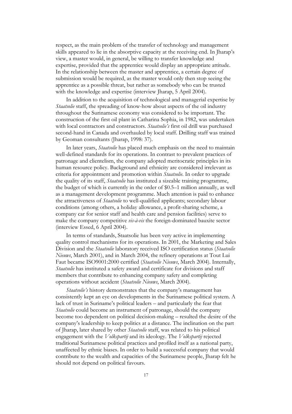respect, as the main problem of the transfer of technology and management skills appeared to lie in the absorptive capacity at the receiving end. In Jharap's view, a master would, in general, be willing to transfer knowledge and expertise, provided that the apprentice would display an appropriate attitude. In the relationship between the master and apprentice, a certain degree of submission would be required, as the master would only then stop seeing the apprentice as a possible threat, but rather as somebody who can be trusted with the knowledge and expertise (interview Jharap, 5 April 2004).

In addition to the acquisition of technological and managerial expertise by *Staatsolie* staff, the spreading of know-how about aspects of the oil industry throughout the Surinamese economy was considered to be important. The construction of the first oil plant in Catharina Sophia, in 1982, was undertaken with local contractors and constructors. *Staatsolie's* first oil drill was purchased second-hand in Canada and overhauled by local staff. Drilling staff was trained by Geoman consultants (Jharap, 1998: 37).

In later years, *Staatsolie* has placed much emphasis on the need to maintain well-defined standards for its operations. In contrast to prevalent practices of patronage and clientelism, the company adopted meritocratic principles in its human resource policy. Background and ethnicity are considered irrelevant as criteria for appointment and promotion within *Staatsolie*. In order to upgrade the quality of its staff, *Staatsolie* has instituted a sizeable training programme, the budget of which is currently in the order of \$0.5–1 million annually, as well as a management development programme. Much attention is paid to enhance the attractiveness of *Staatsolie* to well-qualified applicants; secondary labour conditions (among others, a holiday allowance, a profit-sharing scheme, a company car for senior staff and health care and pension facilities) serve to make the company competitive *vis-à-vis* the foreign-dominated bauxite sector (interview Essed, 6 April 2004).

In terms of standards, Staatsolie has been very active in implementing quality control mechanisms for its operations. In 2001, the Marketing and Sales Division and the *Staatsolie* laboratory received ISO certification status (*Staatsolie Nieuws*, March 2001), and in March 2004, the refinery operations at Tout Lui Faut became ISO9001:2000 certified (*Staatsolie Nieuws*, March 2004). Internally, *Staatsolie* has instituted a safety award and certificate for divisions and staff members that contribute to enhancing company safety and completing operations without accident (*Staatsolie Nieuws*, March 2004).

*Staatsolie's* history demonstrates that the company's management has consistently kept an eye on developments in the Surinamese political system. A lack of trust in Suriname's political leaders – and particularly the fear that *Staatsolie* could become an instrument of patronage, should the company become too dependent on political decision-making – resulted the desire of the company's leadership to keep politics at a distance. The inclination on the part of Jharap, later shared by other *Staatsolie* staff, was related to his political engagement with the *Volkspartij* and its ideology. The *Volkspartij* rejected traditional Surinamese political practices and profiled itself as a national party, unaffected by ethnic biases. In order to build a successful company that would contribute to the wealth and capacities of the Surinamese people, Jharap felt he should not depend on political favours.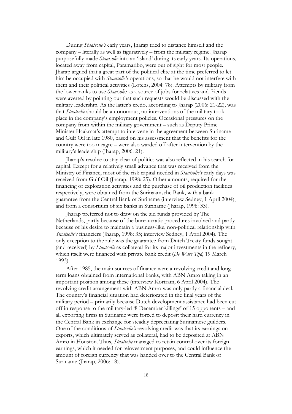During *Staatsolie's* early years, Jharap tried to distance himself and the company – literally as well as figuratively – from the military regime. Jharap purposefully made *Staatsolie* into an 'island' during its early years. Its operations, located away from capital, Paramaribo, were out of sight for most people. Jharap argued that a great part of the political elite at the time preferred to let him be occupied with *Staatsolie's* operations, so that he would not interfere with them and their political activities (Lotens, 2004: 78). Attempts by military from the lower ranks to use *Staatsoli*e as a source of jobs for relatives and friends were averted by pointing out that such requests would be discussed with the military leadership. As the latter's credo, according to Jharap (2006: 21-22), was that *Staatsolie* should be autonomous, no interventions of the military took place in the company's employment policies. Occasional pressures on the company from within the military government – such as Deputy Prime Minister Haakmat's attempt to intervene in the agreement between Suriname and Gulf Oil in late 1980, based on his assessment that the benefits for the country were too meagre – were also warded off after intervention by the military's leadership (Jharap, 2006: 21).

Jharap's resolve to stay clear of politics was also reflected in his search for capital. Except for a relatively small advance that was received from the Ministry of Finance, most of the risk capital needed in *Staatsolie's* early days was received from Gulf Oil (Jharap, 1998: 25). Other amounts, required for the financing of exploration activities and the purchase of oil production facilities respectively, were obtained from the Surinaamsche Bank, with a bank guarantee from the Central Bank of Suriname (interview Sedney, 1 April 2004), and from a consortium of six banks in Suriname (Jharap, 1998: 33).

Jharap preferred not to draw on the aid funds provided by The Netherlands, partly because of the bureaucratic procedures involved and partly because of his desire to maintain a business-like, non-political relationship with *Staatsolie's* financiers (Jharap, 1998: 35; interview Sedney, 1 April 2004). The only exception to the rule was the guarantee from Dutch Treaty funds sought (and received) by *Staatsolie* as collateral for its major investments in the refinery, which itself were financed with private bank credit (*De Ware Tijd*, 19 March 1993).

After 1985, the main sources of finance were a revolving credit and longterm loans obtained from international banks, with ABN Amro taking in an important position among these (interview Kortram, 6 April 2004). The revolving credit arrangement with ABN Amro was only partly a financial deal. The country's financial situation had deteriorated in the final years of the military period – primarily because Dutch development assistance had been cut off in response to the military-led '8 December killings' of 15 opponents – and all exporting firms in Suriname were forced to deposit their hard currency in the Central Bank in exchange for steadily depreciating Surinamese guilders. One of the conditions of *Staatsolie's* revolving credit was that its earnings on exports, which ultimately served as collateral, had to be deposited at ABN Amro in Houston. Thus, *Staatsolie* managed to retain control over its foreign earnings, which it needed for reinvestment purposes, and could influence the amount of foreign currency that was handed over to the Central Bank of Suriname (Jharap, 2006: 18).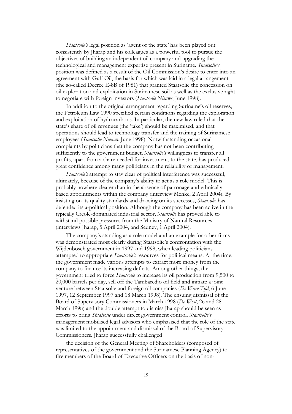*Staatsolie's* legal position as 'agent of the state' has been played out consistently by Jharap and his colleagues as a powerful tool to pursue the objectives of building an independent oil company and upgrading the technological and management expertise present in Suriname. *Staatsolie's* position was defined as a result of the Oil Commission's desire to enter into an agreement with Gulf Oil, the basis for which was laid in a legal arrangement (the so-called Decree E-8B of 1981) that granted Staatsolie the concession on oil exploration and exploitation in Surinamese soil as well as the exclusive right to negotiate with foreign investors (*Staatsolie Nieuws*, June 1998).

In addition to the original arrangement regarding Suriname's oil reserves, the Petroleum Law 1990 specified certain conditions regarding the exploration and exploitation of hydrocarbons. In particular, the new law ruled that the state's share of oil revenues (the 'take') should be maximised, and that operations should lead to technology transfer and the training of Surinamese employees (*Staatsolie Nieuws*, June 1998). Notwithstanding occasional complaints by politicians that the company has not been contributing sufficiently to the government budget, *Staatsolie's* willingness to transfer all profits, apart from a share needed for investment, to the state, has produced great confidence among many politicians in the reliability of management.

*Staatsolie's* attempt to stay clear of political interference was successful, ultimately, because of the company's ability to act as a role model. This is probably nowhere clearer than in the absence of patronage and ethnicallybased appointments within the company (interview Menke, 2 April 2004). By insisting on its quality standards and drawing on its successes, *Staatsolie* has defended its a-political position. Although the company has been active in the typically Creole-dominated industrial sector, *Staatsolie* has proved able to withstand possible pressures from the Ministry of Natural Resources (interviews Jharap, 5 April 2004, and Sedney, 1 April 2004).

The company's standing as a role model and an example for other firms was demonstrated most clearly during Staatsolie's confrontation with the Wijdenbosch government in 1997 and 1998, when leading politicians attempted to appropriate *Staatsolie's* resources for political means. At the time, the government made various attempts to extract more money from the company to finance its increasing deficits. Among other things, the government tried to force *Staatsolie* to increase its oil production from 9,500 to 20,000 barrels per day, sell off the Tambaredjo oil field and initiate a joint venture between Staatsolie and foreign oil companies (*De Ware Tijd*, 6 June 1997, 12 September 1997 and 18 March 1998). The ensuing dismissal of the Board of Supervisory Commissioners in March 1998 (*De West*, 26 and 28 March 1998) and the double attempt to dismiss Jharap should be seen as efforts to bring *Staatsolie* under direct government control. *Staatsolie's* management mobilised legal advisors who emphasised that the role of the state was limited to the appointment and dismissal of the Board of Supervisory Commissioners. Jharap successfully challenged

the decision of the General Meeting of Shareholders (composed of representatives of the government and the Surinamese Planning Agency) to fire members of the Board of Executive Officers on the basis of non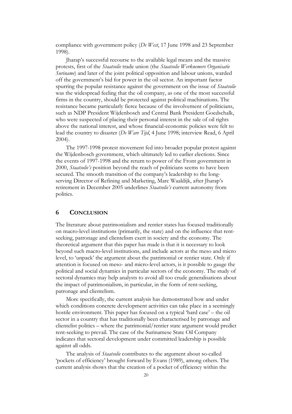compliance with government policy (*De West*, 17 June 1998 and 23 September 1998).

Jharap's successful recourse to the available legal means and the massive protests, first of the *Staatsolie* trade union (the *Staatsolie Werknemers Organisatie Suriname*) and later of the joint political opposition and labour unions, warded off the government's bid for power in the oil sector. An important factor spurring the popular resistance against the government on the issue of *Staatsolie* was the widespread feeling that the oil company, as one of the most successful firms in the country, should be protected against political machinations. The resistance became particularly fierce because of the involvement of politicians, such as NDP President Wijdenbosch and Central Bank President Goedschalk, who were suspected of placing their personal interest in the sale of oil rights above the national interest, and whose financial-economic policies were felt to lead the country to disaster (*De Ware Tijd*, 4 June 1998; interview Read, 6 April 2004).

The 1997-1998 protest movement fed into broader popular protest against the Wijdenbosch government, which ultimately led to earlier elections. Since the events of 1997-1998 and the return to power of the Front government in 2000, *Staatsolie's* position beyond the reach of politicians seems to have been secured. The smooth transition of the company's leadership to the longserving Director of Refining and Marketing, Marc Waaldijk, after Jharap's retirement in December 2005 underlines *Staatsolie's* current autonomy from politics.

### **6 CONCLUSION**

The literature about patrimonialism and rentier states has focused traditionally on macro-level institutions (primarily, the state) and on the influence that rentseeking, patronage and clientelism exert in society and the economy. The theoretical argument that this paper has made is that it is necessary to look beyond such macro-level institutions, and include actors at the meso and micro level, to 'unpack' the argument about the patrimonial or rentier state. Only if attention is focused on meso- and micro-level actors, is it possible to gauge the political and social dynamics in particular sectors of the economy. The study of sectoral dynamics may help analysts to avoid all too crude generalisations about the impact of patrimonialism, in particular, in the form of rent-seeking, patronage and clientelism.

More specifically, the current analysis has demonstrated how and under which conditions concrete development activities can take place in a seemingly hostile environment. This paper has focused on a typical 'hard case' – the oil sector in a country that has traditionally been characterised by patronage and clientelist politics – where the patrimonial/rentier state argument would predict rent-seeking to prevail. The case of the Surinamese State Oil Company indicates that sectoral development under committed leadership is possible against all odds.

The analysis of *Staatsolie* contributes to the argument about so-called 'pockets of efficiency' brought forward by Evans (1989), among others. The current analysis shows that the creation of a pocket of efficiency within the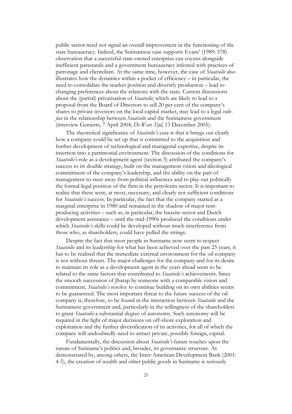public sector need not signal an overall improvement in the functioning of the state bureaucracy. Indeed, the Surinamese case supports Evans' (1989: 578) observation that a successful state-owned enterprise can coexist alongside inefficient parastatals and a government bureaucracy infested with practices of patronage and clientelism. At the same time, however, the case of *Staatsolie* also illustrates how the dynamics within a pocket of efficiency – in particular, the need to consolidate the market position and diversify production – lead to changing preferences about the relations with the state. Current discussions about the (partial) privatisation of *Staatsolie*, which are likely to lead to a proposal from the Board of Directors to sell 20 per cent of the company's shares to private investors on the local capital market, may lead to a legal *volteface* in the relationship between *Staatsolie* and the Surinamese government (interview Gemerts, 7 April 2004; *De Ware Tijd*, 13 December 2005).

The theoretical significance of *Staatsolie's* case is that it brings out clearly how a company could be set up that is committed to the acquisition and further development of technological and managerial expertise, despite its insertion into a patrimonial environment. The discussion of the conditions for *Staatsolie's* role as a development agent (section 5) attributed the company's success to its double strategy, built on the management vision and ideological commitment of the company's leadership, and the ability on the part of management to steer away from political influences and to play out politically the formal-legal position of the firm in the petroleum sector. It is important to realise that these were, at most, necessary, and clearly not sufficient conditions for *Staatsolie's* success. In particular, the fact that the company started as a marginal enterprise in 1980 and remained in the shadow of major rentproducing activities – such as, in particular, the bauxite sector and Dutch development assistance – until the mid-1990s produced the conditions under which *Staatsolie's* skills could be developed without much interference from those who, as shareholders, could have pulled the strings.

Despite the fact that most people in Suriname now seem to respect *Staatsolie* and its leadership for what has been achieved over the past 25 years, it has to be realised that the immediate external environment for the oil company is not without threats. The major challenges for the company and for its desire to maintain its role as a development agent in the years ahead seem to be related to the same factors that contributed to *Staatsolie's* achievements. Since the smooth succession of Jharap by someone with a comparable vision and commitment, *Staatsolie's* resolve to continue building on its own abilities seems to be guaranteed. The most important threat to the future success of the oil company is, therefore, to be found in the interaction between *Staatsolie* and the Surinamese government and, particularly in the willingness of the shareholders to grant *Staatsolie* a substantial degree of autonomy. Such autonomy will be required in the light of major decisions on off-shore exploration and exploitation and the further diversification of its activities, for all of which the company will undoubtedly need to attract private, possibly foreign, capital.

Fundamentally, the discussion about *Staatsolie's* future touches upon the nature of Suriname's politics and, broader, its governance structure. As demonstrated by, among others, the Inter-American Development Bank (2001: 4-5), the creation of wealth and other public goods in Suriname is seriously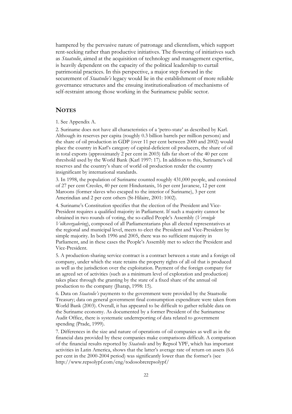hampered by the pervasive nature of patronage and clientelism, which support rent-seeking rather than productive initiatives. The flowering of initiatives such as *Staatsolie*, aimed at the acquisition of technology and management expertise, is heavily dependent on the capacity of the political leadership to curtail patrimonial practices. In this perspective, a major step forward in the securement of *Staatsolie's* legacy would lie in the establishment of more reliable governance structures and the ensuing institutionalisation of mechanisms of self-restraint among those working in the Surinamese public sector.

#### **NOTES**

1. See Appendix A.

2. Suriname does not have all characteristics of a 'petro-state' as described by Karl. Although its reserves per capita (roughly 0.3 billion barrels per million persons) and the share of oil production in GDP (over 11 per cent between 2000 and 2002) would place the country in Karl's category of capital-deficient oil producers, the share of oil in total exports (approximately 2 per cent in 2003) falls far short of the 40 per cent threshold used by the World Bank (Karl 1997: 17). In addition to this, Suriname's oil reserves and the country's share of world oil production render the country insignificant by international standards.

3. In 1998, the population of Suriname counted roughly 431,000 people, and consisted of 27 per cent Creoles, 40 per cent Hindustanis, 16 per cent Javanese, 12 per cent Maroons (former slaves who escaped to the interior of Suriname), 3 per cent Amerindian and 2 per cent others (St-Hilaire, 2001: 1002).

4. Suriname's Constitution specifies that the election of the President and Vice-President requires a qualified majority in Parliament. If such a majority cannot be obtained in two rounds of voting, the so-called People's Assembly (*Verenigde Volksvergadering*), composed of all Parliamentarians plus all elected representatives at the regional and municipal level, meets to elect the President and Vice-President by simple majority. In both 1996 and 2005, there was no sufficient majority in Parliament, and in these cases the People's Assembly met to select the President and Vice-President.

5. A production-sharing service contract is a contract between a state and a foreign oil company, under which the state retains the property rights of all oil that is produced as well as the jurisdiction over the exploitation. Payment of the foreign company for an agreed set of activities (such as a minimum level of exploration and production) takes place through the granting by the state of a fixed share of the annual oil production to the company (Jharap, 1998: 15).

6. Data on *Staatsolie's* payments to the government were provided by the Staatsolie Treasury; data on general government final consumption expenditure were taken from World Bank (2003). Overall, it has appeared to be difficult to gather reliable data on the Suriname economy. As documented by a former President of the Surinamese Audit Office, there is systematic underreporting of data related to government spending (Prade, 1999).

7. Differences in the size and nature of operations of oil companies as well as in the financial data provided by these companies make comparisons difficult. A comparison of the financial results reported by *Staatsolie* and by Repsol YPF, which has important activities in Latin America, shows that the latter's average rate of return on assets (6.6 per cent in the 2000-2004 period) was significantly lower than the former's (see http://www.repsolypf.com/eng/todosobrerepsolypf/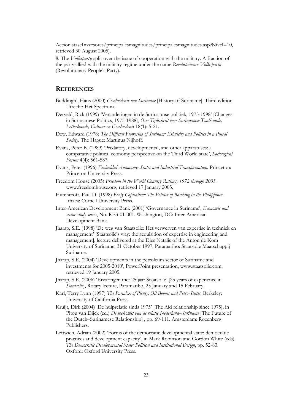AccionistaseInversores/principalesmagnitudes/principalesmagnitudes.asp?Nivel=10, retrieved 30 August 2005).

8. The *Volkspartij* split over the issue of cooperation with the military. A fraction of the party allied with the military regime under the name *Revolutionaire Volkspartij* (Revolutionary People's Party).

#### **REFERENCES**

- Buddingh', Hans (2000) *Geschiedenis van Suriname* [History of Suriname]. Third edition Utrecht: Het Spectrum.
- Derveld, Rick (1999) 'Veranderingen in de Surinaamse politiek, 1975-1998' [Changes in Surinamese Politics, 1975-1988], *Oso: Tijdschrift voor Surinaamse Taalkunde, Letterkunde, Cultuur en Geschiedenis* 18(1): 5-21.
- Dew, Edward (1978) *The Difficult Flowering of Surinam: Ethnicity and Politics in a Plural Society.* The Hague: Martinus Nijhoff.
- Evans, Peter B. (1989) 'Predatory, developmental, and other apparatuses: a comparative political economy perspective on the Third World state', *Sociological Forum* 4(4): 561-587.
- Evans, Peter (1996) *Embedded Autonomy: States and Industrial Transformation*. Princeton: Princeton University Press.
- Freedom House (2005) *Freedom in the World Country Ratings, 1972 through 2003.* www.freedomhouse.org, retrieved 17 January 2005.
- Hutchcroft, Paul D. (1998) *Booty Capitalism: The Politics of Banking in the Philippines*. Ithaca: Cornell University Press.
- Inter-American Development Bank (2001) 'Governance in Suriname', *Economic and sector study series*, No. RE3-01-001. Washington, DC: Inter-American Development Bank.
- Jharap, S.E. (1998) 'De weg van Staatsolie: Het verwerven van expertise in techniek en management' [Staatsolie's way: the acquisition of expertise in engineering and management], lecture delivered at the Dies Natalis of the Anton de Kom University of Suriname, 31 October 1997. Paramaribo: Staatsolie Maatschappij Suriname.
- Jharap, S.E. (2004) 'Developments in the petroleum sector of Suriname and investments for 2005-2010', PowerPoint presentation, www.staatsolie.com, retrieved 19 January 2005.
- Jharap, S.E. (2006) 'Ervaringen met 25 jaar Staatsolie' [25 years of experience in *Staatsolie*], Rotary lecture, Paramaribo, 25 January and 15 February.
- Karl, Terry Lynn (1997) *The Paradox of Plenty: Oil Booms and Petro-States*. Berkeley: University of California Press.
- Kruijt, Dirk (2004) 'De hulprelatie sinds 1975' [The Aid relationship since 1975], in Pitou van Dijck (ed.) *De toekomst van de relatie Nederland–Suriname* [The Future of the Dutch–Surinamese Relationship] , pp. 69-111. Amsterdam: Rozenberg Publishers.
- Leftwich, Adrian (2002) 'Forms of the democratic developmental state: democratic practices and development capacity', in Mark Robinson and Gordon White (eds) *The Democratic Developmental State: Political and Institutional Design*, pp. 52-83. Oxford: Oxford University Press.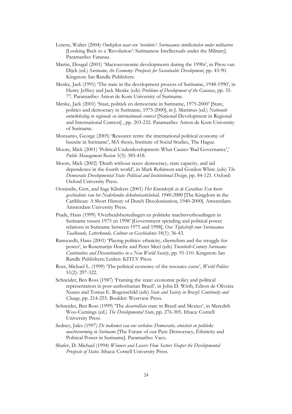- Lotens, Walter (2004) *Omkijken naar een 'revolutie': Surinaamse intellectuelen onder militairen* [Looking Back to a 'Revolution': Surinamese Intellectuals under the Military]. Paramaribo: Faranaz.
- Martin, Dougal (2001) 'Macroeconomic developments during the 1990s', in Pitou van Dijck (ed.) *Suriname, the Economy: Prospects for Sustainable Development*, pp. 43-90. Kingston: Ian Randle Publishers.
- Menke, Jack (1991) 'The state in the development process of Suriname, 1948-1990', in Henry Jeffrey and Jack Menke (eds) *Problems of Development of the Guianas*, pp. 55- 77. Paramaribo: Anton de Kom University of Suriname.
- Menke, Jack (2001) 'Staat, politiek en democratie in Suriname, 1975-2000' [State, politics and democracy in Suriname, 1975-2000], in J. Martinus (ed.) *Nationale ontwikkeling in regionale en internationale context* [National Development in Regional and International Context] , pp. 203-232. Paramaribo: Anton de Kom University of Suriname.
- Monsanto, George (2005) 'Resource rents: the international political economy of bauxite in Suriname', MA thesis, Institute of Social Studies, The Hague.
- Moore, Mick (2001) 'Political Underdevelopment: What Causes 'Bad Governance',' *Public Management Review* 3(3): 385-418.
- Moore, Mick (2002) 'Death without taxes: democracy, state capacity, and aid dependence in the fourth world', in Mark Robinson and Gordon White (eds) *The Democratic Developmental State: Political and Institutional Design*, pp. 84-121. Oxford: Oxford University Press.
- Oostindie, Gert, and Inge Klinkers (2001) *Het Koninkrijk in de Caraïben: Een korte geschiedenis van het Nederlandse dekolonisatiebeleid, 1940-2000* [The Kingdom in the Caribbean: A Short History of Dutch Decolonisation, 1940-2000]. Amsterdam: Amsterdam University Press.
- Prade, Hans (1999) 'Overheidsbestedingen en politieke machtsverhoudingen in Suriname tussen 1975 en 1998' [Government spending and political power relations in Suriname between 1975 and 1998], *Oso: Tijdschrift voor Surinaamse Taalkunde, Letterkunde, Cultuur en Geschiedenis* 18(1): 36-43.
- Ramsoedh, Hans (2001) 'Playing politics: ethnicity, clientelism and the struggle for power', in Rosemarijn Hoefte and Peter Meel (eds) *Twentieth-Century Suriname: Continuities and Discontinuities in a New World Society*, pp. 91-110. Kingston: Ian Randle Publishers; Leiden: KITLV Press.
- Ross, Michael L. (1999) 'The political economy of the resource curse', *World Politics* 51(2): 297-322.
- Schneider, Ben Ross (1987) 'Framing the state: economic policy and political representation in post-authoritarian Brazil', in John D. Wirth, Edson de Oliveira Nunes and Tomas E. Bogenschild (eds) *State and Society in Brazil: Continuity and Change*, pp. 214-255. Boulder: Westview Press.
- Schneider, Ben Ross (1999) 'The *desarrollista* state in Brazil and Mexico', in Meredith Woo-Cumings (ed.) *The Developmental State*, pp. 276-305. Ithaca: Cornell University Press.
- Sedney, Jules (1997) *De toekomst van ons verleden: Democratie, etniciteit en politieke machtsvorming in Suriname* [The Future of our Past: Democracy, Ethnicity and Political Power in Suriname]. Paramaribo: Vaco.
- Shafer, D. Michael (1994) *Winners and Losers: How Sectors Shaper the Developmental Prospects of States.* Ithaca: Cornell University Press.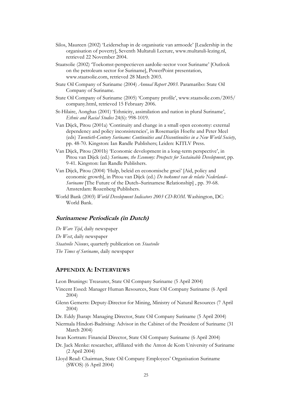- Silos, Maureen (2002) 'Leiderschap in de organisatie van armoede' [Leadership in the organisation of poverty], Seventh Multatuli Lecture, www.multatuli-lezing.nl, retrieved 22 November 2004.
- Staatsolie (2002) 'Toekomst-perspectieven aardolie-sector voor Suriname' [Outlook on the petroleum sector for Suriname], PowerPoint presentation, www.staatsolie.com, retrieved 28 March 2003.
- State Oil Company of Suriname (2004) *Annual Report 2003.* Paramaribo: State Oil Company of Suriname.
- State Oil Company of Suriname (2005) 'Company profile', www.staatsolie.com/2005/ company.html, retrieved 15 February 2006.
- St-Hilaire, Aonghas (2001) 'Ethnicity, assimilation and nation in plural Suriname', *Ethnic and Racial Studies* 24(6): 998-1019.
- Van Dijck, Pitou (2001a) 'Continuity and change in a small open economy: external dependency and policy inconsistencies', in Rosemarijn Hoefte and Peter Meel (eds) *Twentieth-Century Suriname: Continuities and Discontinuities in a New World Society*, pp. 48-70. Kingston: Ian Randle Publishers; Leiden: KITLV Press.
- Van Dijck, Pitou (2001b) 'Economic development in a long-term perspective', in Pitou van Dijck (ed.) *Suriname, the Economy: Prospects for Sustainable Development*, pp. 9-41. Kingston: Ian Randle Publishers.
- Van Dijck, Pitou (2004) 'Hulp, beleid en economische groei' [Aid, policy and economic growth], in Pitou van Dijck (ed.) *De toekomst van de relatie Nederland– Suriname* [The Future of the Dutch–Surinamese Relationship] , pp. 39-68. Amsterdam: Rozenberg Publishers.
- World Bank (2003) *World Development Indicators 2003 CD-ROM.* Washington, DC: World Bank.

#### **Surinamese Periodicals (in Dutch)**

*De Ware Tijd*, daily newspaper *De West*, daily newspaper *Staatsolie Nieuws*, quarterly publication on *Staatsolie The Times of Suriname*, daily newspaper

#### **APPENDIX A: INTERVIEWS**

Leon Brunings: Treasurer, State Oil Company Suriname (5 April 2004)

- Vincent Essed: Manager Human Resources, State Oil Company Suriname (6 April 2004)
- Glenn Gemerts: Deputy-Director for Mining, Ministry of Natural Resources (7 April 2004)
- Dr. Eddy Jharap: Managing Director, State Oil Company Suriname (5 April 2004)
- Niermala Hindori-Badrising: Advisor in the Cabinet of the President of Suriname (31 March 2004)
- Iwan Kortram: Financial Director, State Oil Company Suriname (6 April 2004)
- Dr. Jack Menke: researcher, affiliated with the Anton de Kom University of Suriname (2 April 2004)
- Lloyd Read: Chairman, State Oil Company Employees' Organisation Suriname (SWOS) (6 April 2004)